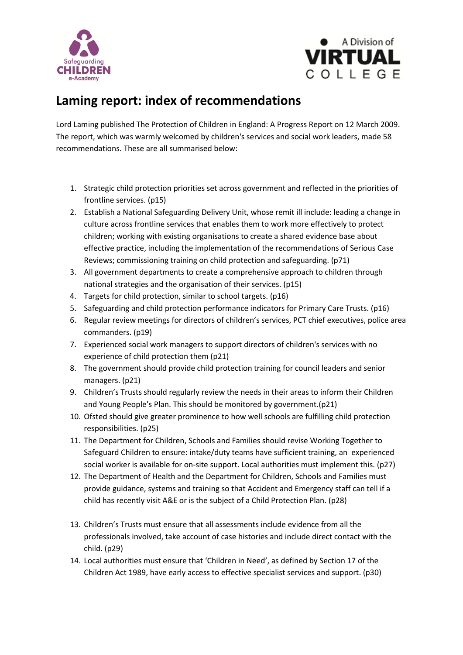



## **Laming report: index of recommendations**

Lord Laming published The Protection of Children in England: A Progress Report on 12 March 2009. The report, which was warmly welcomed by children's services and social work leaders, made 58 recommendations. These are all summarised below:

- 1. Strategic child protection priorities set across government and reflected in the priorities of frontline services. (p15)
- 2. Establish a National Safeguarding Delivery Unit, whose remit ill include: leading a change in culture across frontline services that enables them to work more effectively to protect children; working with existing organisations to create a shared evidence base about effective practice, including the implementation of the recommendations of Serious Case Reviews; commissioning training on child protection and safeguarding. (p71)
- 3. All government departments to create a comprehensive approach to children through national strategies and the organisation of their services. (p15)
- 4. Targets for child protection, similar to school targets. (p16)
- 5. Safeguarding and child protection performance indicators for Primary Care Trusts. (p16)
- 6. Regular review meetings for directors of children's services, PCT chief executives, police area commanders. (p19)
- 7. Experienced social work managers to support directors of children's services with no experience of child protection them (p21)
- 8. The government should provide child protection training for council leaders and senior managers. (p21)
- 9. Children's Trusts should regularly review the needs in their areas to inform their Children and Young People's Plan. This should be monitored by government.(p21)
- 10. Ofsted should give greater prominence to how well schools are fulfilling child protection responsibilities. (p25)
- 11. The Department for Children, Schools and Families should revise Working Together to Safeguard Children to ensure: intake/duty teams have sufficient training, an experienced social worker is available for on-site support. Local authorities must implement this. (p27)
- 12. The Department of Health and the Department for Children, Schools and Families must provide guidance, systems and training so that Accident and Emergency staff can tell if a child has recently visit A&E or is the subject of a Child Protection Plan. (p28)
- 13. Children's Trusts must ensure that all assessments include evidence from all the professionals involved, take account of case histories and include direct contact with the child. (p29)
- 14. Local authorities must ensure that 'Children in Need', as defined by Section 17 of the Children Act 1989, have early access to effective specialist services and support. (p30)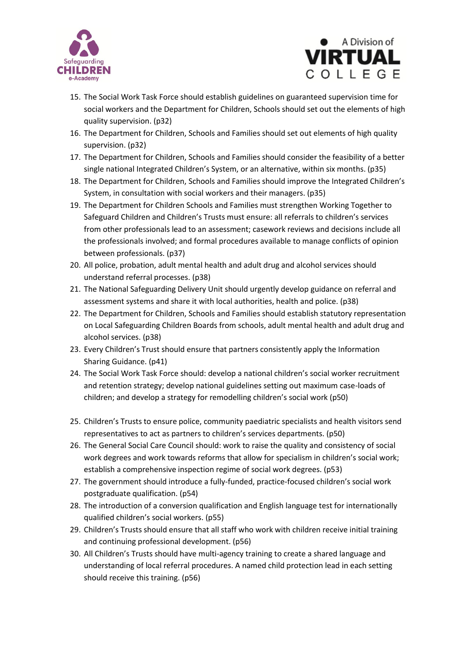



- 15. The Social Work Task Force should establish guidelines on guaranteed supervision time for social workers and the Department for Children, Schools should set out the elements of high quality supervision. (p32)
- 16. The Department for Children, Schools and Families should set out elements of high quality supervision. (p32)
- 17. The Department for Children, Schools and Families should consider the feasibility of a better single national Integrated Children's System, or an alternative, within six months. (p35)
- 18. The Department for Children, Schools and Families should improve the Integrated Children's System, in consultation with social workers and their managers. (p35)
- 19. The Department for Children Schools and Families must strengthen Working Together to Safeguard Children and Children's Trusts must ensure: all referrals to children's services from other professionals lead to an assessment; casework reviews and decisions include all the professionals involved; and formal procedures available to manage conflicts of opinion between professionals. (p37)
- 20. All police, probation, adult mental health and adult drug and alcohol services should understand referral processes. (p38)
- 21. The National Safeguarding Delivery Unit should urgently develop guidance on referral and assessment systems and share it with local authorities, health and police. (p38)
- 22. The Department for Children, Schools and Families should establish statutory representation on Local Safeguarding Children Boards from schools, adult mental health and adult drug and alcohol services. (p38)
- 23. Every Children's Trust should ensure that partners consistently apply the Information Sharing Guidance. (p41)
- 24. The Social Work Task Force should: develop a national children's social worker recruitment and retention strategy; develop national guidelines setting out maximum case-loads of children; and develop a strategy for remodelling children's social work (p50)
- 25. Children's Trusts to ensure police, community paediatric specialists and health visitors send representatives to act as partners to children's services departments. (p50)
- 26. The General Social Care Council should: work to raise the quality and consistency of social work degrees and work towards reforms that allow for specialism in children's social work; establish a comprehensive inspection regime of social work degrees. (p53)
- 27. The government should introduce a fully-funded, practice-focused children's social work postgraduate qualification. (p54)
- 28. The introduction of a conversion qualification and English language test for internationally qualified children's social workers. (p55)
- 29. Children's Trusts should ensure that all staff who work with children receive initial training and continuing professional development. (p56)
- 30. All Children's Trusts should have multi-agency training to create a shared language and understanding of local referral procedures. A named child protection lead in each setting should receive this training. (p56)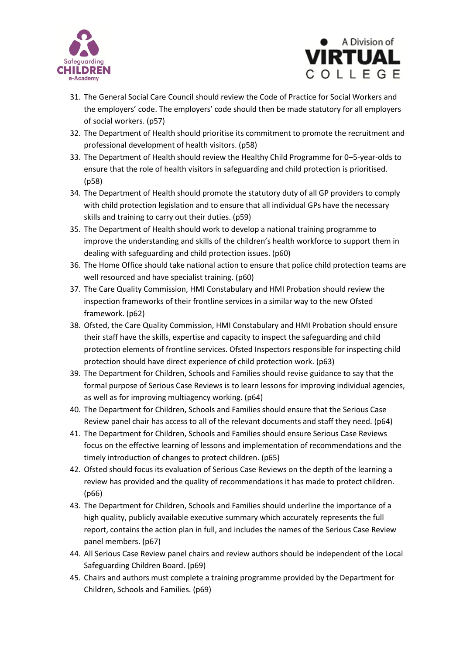



- 31. The General Social Care Council should review the Code of Practice for Social Workers and the employers' code. The employers' code should then be made statutory for all employers of social workers. (p57)
- 32. The Department of Health should prioritise its commitment to promote the recruitment and professional development of health visitors. (p58)
- 33. The Department of Health should review the Healthy Child Programme for 0–5-year-olds to ensure that the role of health visitors in safeguarding and child protection is prioritised. (p58)
- 34. The Department of Health should promote the statutory duty of all GP providers to comply with child protection legislation and to ensure that all individual GPs have the necessary skills and training to carry out their duties. (p59)
- 35. The Department of Health should work to develop a national training programme to improve the understanding and skills of the children's health workforce to support them in dealing with safeguarding and child protection issues. (p60)
- 36. The Home Office should take national action to ensure that police child protection teams are well resourced and have specialist training. (p60)
- 37. The Care Quality Commission, HMI Constabulary and HMI Probation should review the inspection frameworks of their frontline services in a similar way to the new Ofsted framework. (p62)
- 38. Ofsted, the Care Quality Commission, HMI Constabulary and HMI Probation should ensure their staff have the skills, expertise and capacity to inspect the safeguarding and child protection elements of frontline services. Ofsted Inspectors responsible for inspecting child protection should have direct experience of child protection work. (p63)
- 39. The Department for Children, Schools and Families should revise guidance to say that the formal purpose of Serious Case Reviews is to learn lessons for improving individual agencies, as well as for improving multiagency working. (p64)
- 40. The Department for Children, Schools and Families should ensure that the Serious Case Review panel chair has access to all of the relevant documents and staff they need. (p64)
- 41. The Department for Children, Schools and Families should ensure Serious Case Reviews focus on the effective learning of lessons and implementation of recommendations and the timely introduction of changes to protect children. (p65)
- 42. Ofsted should focus its evaluation of Serious Case Reviews on the depth of the learning a review has provided and the quality of recommendations it has made to protect children. (p66)
- 43. The Department for Children, Schools and Families should underline the importance of a high quality, publicly available executive summary which accurately represents the full report, contains the action plan in full, and includes the names of the Serious Case Review panel members. (p67)
- 44. All Serious Case Review panel chairs and review authors should be independent of the Local Safeguarding Children Board. (p69)
- 45. Chairs and authors must complete a training programme provided by the Department for Children, Schools and Families. (p69)